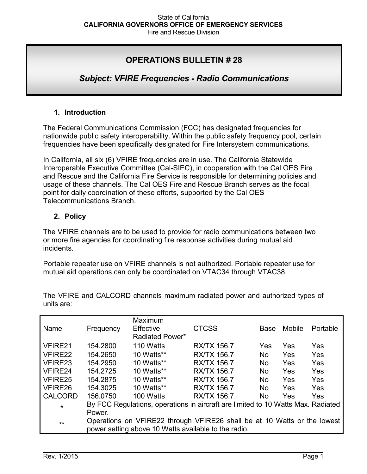# **OPERATIONS BULLETIN # 28**

# *Subject: VFIRE Frequencies - Radio Communications*

### **1. Introduction**

The Federal Communications Commission (FCC) has designated frequencies for nationwide public safety interoperability. Within the public safety frequency pool, certain frequencies have been specifically designated for Fire Intersystem communications.

In California, all six (6) VFIRE frequencies are in use. The California Statewide Interoperable Executive Committee (Cal-SIEC), in cooperation with the Cal OES Fire and Rescue and the California Fire Service is responsible for determining policies and usage of these channels. The Cal OES Fire and Rescue Branch serves as the focal point for daily coordination of these efforts, supported by the Cal OES Telecommunications Branch.

### **2. Policy**

The VFIRE channels are to be used to provide for radio communications between two or more fire agencies for coordinating fire response activities during mutual aid incidents.

Portable repeater use on VFIRE channels is not authorized. Portable repeater use for mutual aid operations can only be coordinated on VTAC34 through VTAC38.

|                |           | Maximum                                              |                                                                                  |           |               |          |
|----------------|-----------|------------------------------------------------------|----------------------------------------------------------------------------------|-----------|---------------|----------|
| Name           | Frequency | Effective                                            | <b>CTCSS</b>                                                                     | Base      | <b>Mobile</b> | Portable |
|                |           | Radiated Power*                                      |                                                                                  |           |               |          |
| VFIRE21        | 154.2800  | 110 Watts                                            | <b>RX/TX 156.7</b>                                                               | Yes       | Yes           | Yes      |
| VFIRE22        | 154.2650  | 10 Watts**                                           | <b>RX/TX 156.7</b>                                                               | <b>No</b> | Yes           | Yes      |
| VFIRE23        | 154.2950  | 10 Watts**                                           | <b>RX/TX 156.7</b>                                                               | <b>No</b> | Yes           | Yes      |
| VFIRE24        | 154.2725  | 10 Watts**                                           | <b>RX/TX 156.7</b>                                                               | No.       | Yes           | Yes      |
| VFIRE25        | 154.2875  | 10 Watts**                                           | <b>RX/TX 156.7</b>                                                               | <b>No</b> | Yes           | Yes      |
| VFIRE26        | 154.3025  | 10 Watts**                                           | <b>RX/TX 156.7</b>                                                               | <b>No</b> | Yes           | Yes      |
| <b>CALCORD</b> | 156.0750  | 100 Watts                                            | <b>RX/TX 156.7</b>                                                               | No.       | Yes           | Yes      |
| $\star$        |           |                                                      | By FCC Regulations, operations in aircraft are limited to 10 Watts Max. Radiated |           |               |          |
|                | Power.    |                                                      |                                                                                  |           |               |          |
| $**$           |           |                                                      | Operations on VFIRE22 through VFIRE26 shall be at 10 Watts or the lowest         |           |               |          |
|                |           | power setting above 10 Watts available to the radio. |                                                                                  |           |               |          |

The VFIRE and CALCORD channels maximum radiated power and authorized types of units are: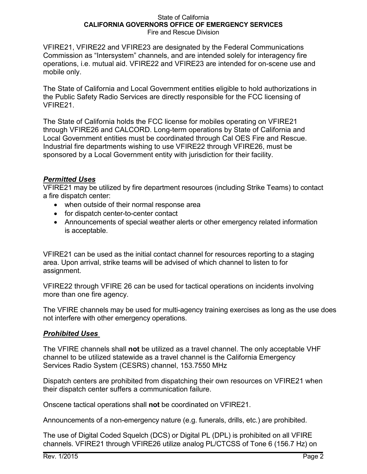#### State of California **CALIFORNIA GOVERNORS OFFICE OF EMERGENCY SERVICES** Fire and Rescue Division

VFIRE21, VFIRE22 and VFIRE23 are designated by the Federal Communications Commission as "Intersystem" channels, and are intended solely for interagency fire operations, i.e. mutual aid. VFIRE22 and VFIRE23 are intended for on-scene use and mobile only.

The State of California and Local Government entities eligible to hold authorizations in the Public Safety Radio Services are directly responsible for the FCC licensing of VFIRE21.

The State of California holds the FCC license for mobiles operating on VFIRE21 through VFIRE26 and CALCORD. Long-term operations by State of California and Local Government entities must be coordinated through Cal OES Fire and Rescue. Industrial fire departments wishing to use VFIRE22 through VFIRE26, must be sponsored by a Local Government entity with jurisdiction for their facility.

## *Permitted Uses*

VFIRE21 may be utilized by fire department resources (including Strike Teams) to contact a fire dispatch center:

- when outside of their normal response area
- for dispatch center-to-center contact
- Announcements of special weather alerts or other emergency related information is acceptable.

VFIRE21 can be used as the initial contact channel for resources reporting to a staging area. Upon arrival, strike teams will be advised of which channel to listen to for assignment.

VFIRE22 through VFIRE 26 can be used for tactical operations on incidents involving more than one fire agency.

The VFIRE channels may be used for multi-agency training exercises as long as the use does not interfere with other emergency operations.

## *Prohibited Uses*

The VFIRE channels shall **not** be utilized as a travel channel. The only acceptable VHF channel to be utilized statewide as a travel channel is the California Emergency Services Radio System (CESRS) channel, 153.7550 MHz

Dispatch centers are prohibited from dispatching their own resources on VFIRE21 when their dispatch center suffers a communication failure.

Onscene tactical operations shall **not** be coordinated on VFIRE21.

Announcements of a non-emergency nature (e.g. funerals, drills, etc.) are prohibited.

The use of Digital Coded Squelch (DCS) or Digital PL (DPL) is prohibited on all VFIRE channels. VFIRE21 through VFIRE26 utilize analog PL/CTCSS of Tone 6 (156.7 Hz) on